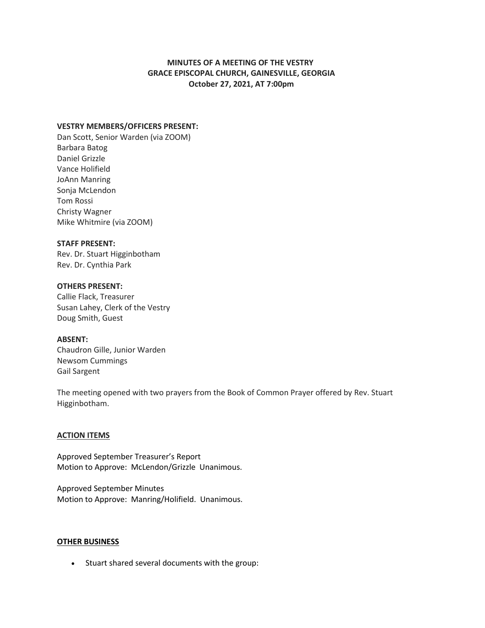# **MINUTES OF A MEETING OF THE VESTRY GRACE EPISCOPAL CHURCH, GAINESVILLE, GEORGIA October 27, 2021, AT 7:00pm**

# **VESTRY MEMBERS/OFFICERS PRESENT:**

Dan Scott, Senior Warden (via ZOOM) Barbara Batog Daniel Grizzle Vance Holifield JoAnn Manring Sonja McLendon Tom Rossi Christy Wagner Mike Whitmire (via ZOOM)

#### **STAFF PRESENT:**

Rev. Dr. Stuart Higginbotham Rev. Dr. Cynthia Park

## **OTHERS PRESENT:**

Callie Flack, Treasurer Susan Lahey, Clerk of the Vestry Doug Smith, Guest

## **ABSENT:**

Chaudron Gille, Junior Warden Newsom Cummings Gail Sargent

The meeting opened with two prayers from the Book of Common Prayer offered by Rev. Stuart Higginbotham.

## **ACTION ITEMS**

Approved September Treasurer's Report Motion to Approve: McLendon/Grizzle Unanimous.

Approved September Minutes Motion to Approve: Manring/Holifield. Unanimous.

#### **OTHER BUSINESS**

• Stuart shared several documents with the group: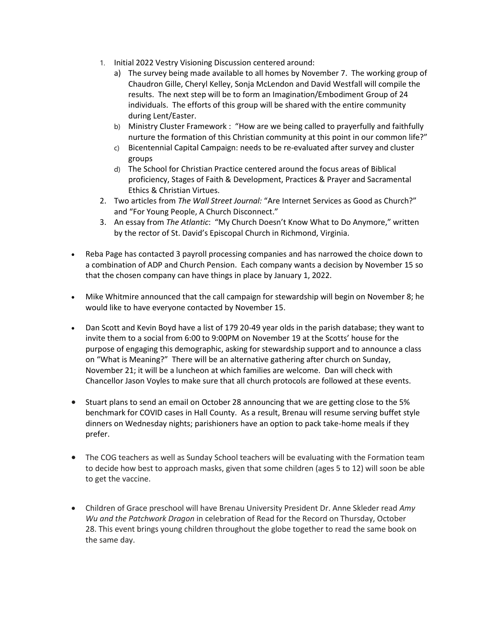- 1. Initial 2022 Vestry Visioning Discussion centered around:
	- a) The survey being made available to all homes by November 7. The working group of Chaudron Gille, Cheryl Kelley, Sonja McLendon and David Westfall will compile the results. The next step will be to form an Imagination/Embodiment Group of 24 individuals. The efforts of this group will be shared with the entire community during Lent/Easter.
	- b) Ministry Cluster Framework : "How are we being called to prayerfully and faithfully nurture the formation of this Christian community at this point in our common life?"
	- c) Bicentennial Capital Campaign: needs to be re-evaluated after survey and cluster groups
	- d) The School for Christian Practice centered around the focus areas of Biblical proficiency, Stages of Faith & Development, Practices & Prayer and Sacramental Ethics & Christian Virtues.
- 2. Two articles from *The Wall Street Journal:* "Are Internet Services as Good as Church?" and "For Young People, A Church Disconnect."
- 3. An essay from *The Atlantic*: "My Church Doesn't Know What to Do Anymore," written by the rector of St. David's Episcopal Church in Richmond, Virginia.
- Reba Page has contacted 3 payroll processing companies and has narrowed the choice down to a combination of ADP and Church Pension. Each company wants a decision by November 15 so that the chosen company can have things in place by January 1, 2022.
- Mike Whitmire announced that the call campaign for stewardship will begin on November 8; he would like to have everyone contacted by November 15.
- Dan Scott and Kevin Boyd have a list of 179 20-49 year olds in the parish database; they want to invite them to a social from 6:00 to 9:00PM on November 19 at the Scotts' house for the purpose of engaging this demographic, asking for stewardship support and to announce a class on "What is Meaning?" There will be an alternative gathering after church on Sunday, November 21; it will be a luncheon at which families are welcome. Dan will check with Chancellor Jason Voyles to make sure that all church protocols are followed at these events.
- Stuart plans to send an email on October 28 announcing that we are getting close to the 5% benchmark for COVID cases in Hall County. As a result, Brenau will resume serving buffet style dinners on Wednesday nights; parishioners have an option to pack take-home meals if they prefer.
- The COG teachers as well as Sunday School teachers will be evaluating with the Formation team to decide how best to approach masks, given that some children (ages 5 to 12) will soon be able to get the vaccine.
- Children of Grace preschool will have Brenau University President Dr. Anne Skleder read *Amy Wu and the Patchwork Dragon* in celebration of Read for the Record on Thursday, October 28. This event brings young children throughout the globe together to read the same book on the same day.